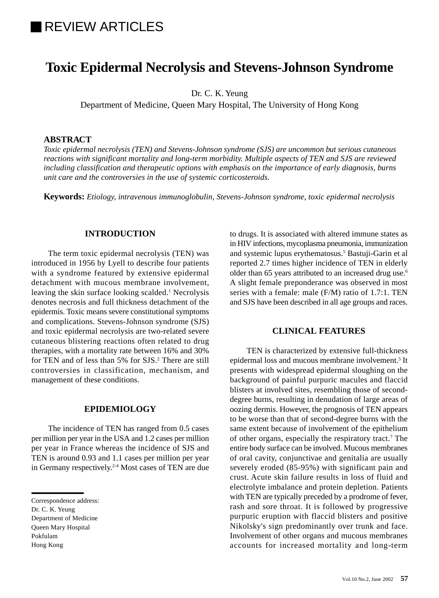# **REVIEW ARTICLES**

## **Toxic Epidermal Necrolysis and Stevens-Johnson Syndrome**

Dr. C. K. Yeung

Department of Medicine, Queen Mary Hospital, The University of Hong Kong

## **ABSTRACT**

*Toxic epidermal necrolysis (TEN) and Stevens-Johnson syndrome (SJS) are uncommon but serious cutaneous reactions with significant mortality and long-term morbidity. Multiple aspects of TEN and SJS are reviewed including classification and therapeutic options with emphasis on the importance of early diagnosis, burns unit care and the controversies in the use of systemic corticosteroids.*

**Keywords:** *Etiology, intravenous immunoglobulin, Stevens-Johnson syndrome, toxic epidermal necrolysis*

## **INTRODUCTION**

The term toxic epidermal necrolysis (TEN) was introduced in 1956 by Lyell to describe four patients with a syndrome featured by extensive epidermal detachment with mucous membrane involvement, leaving the skin surface looking scalded.<sup>1</sup> Necrolysis denotes necrosis and full thickness detachment of the epidermis. Toxic means severe constitutional symptoms and complications. Stevens-Johnson syndrome (SJS) and toxic epidermal necrolysis are two-related severe cutaneous blistering reactions often related to drug therapies, with a mortality rate between 16% and 30% for TEN and of less than 5% for SJS.<sup>2</sup> There are still controversies in classification, mechanism, and management of these conditions.

## **EPIDEMIOLOGY**

The incidence of TEN has ranged from 0.5 cases per million per year in the USA and 1.2 cases per million per year in France whereas the incidence of SJS and TEN is around 0.93 and 1.1 cases per million per year in Germany respectively.2-4 Most cases of TEN are due

Queen Mary Hospital

Pokfulam

to drugs. It is associated with altered immune states as in HIV infections, mycoplasma pneumonia, immunization and systemic lupus erythematosus.5 Bastuji-Garin et al reported 2.7 times higher incidence of TEN in elderly older than 65 years attributed to an increased drug use.<sup>6</sup> A slight female preponderance was observed in most series with a female: male (F/M) ratio of 1.7:1. TEN and SJS have been described in all age groups and races.

## **CLINICAL FEATURES**

TEN is characterized by extensive full-thickness epidermal loss and mucous membrane involvement.<sup>5</sup> It presents with widespread epidermal sloughing on the background of painful purpuric macules and flaccid blisters at involved sites, resembling those of seconddegree burns, resulting in denudation of large areas of oozing dermis. However, the prognosis of TEN appears to be worse than that of second-degree burns with the same extent because of involvement of the epithelium of other organs, especially the respiratory tract.<sup>7</sup> The entire body surface can be involved. Mucous membranes of oral cavity, conjunctivae and genitalia are usually severely eroded (85-95%) with significant pain and crust. Acute skin failure results in loss of fluid and electrolyte imbalance and protein depletion. Patients with TEN are typically preceded by a prodrome of fever, rash and sore throat. It is followed by progressive purpuric eruption with flaccid blisters and positive Nikolsky's sign predominantly over trunk and face. Involvement of other organs and mucous membranes accounts for increased mortality and long-term

Correspondence address:

Dr. C. K. Yeung Department of Medicine

Hong Kong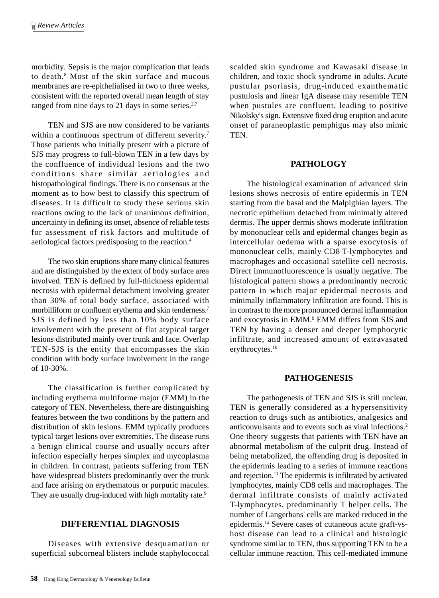morbidity. Sepsis is the major complication that leads to death.8 Most of the skin surface and mucous membranes are re-epithelialised in two to three weeks, consistent with the reported overall mean length of stay ranged from nine days to 21 days in some series.<sup>3,7</sup>

TEN and SJS are now considered to be variants within a continuous spectrum of different severity.<sup>7</sup> Those patients who initially present with a picture of SJS may progress to full-blown TEN in a few days by the confluence of individual lesions and the two conditions share similar aetiologies and histopathological findings. There is no consensus at the moment as to how best to classify this spectrum of diseases. It is difficult to study these serious skin reactions owing to the lack of unanimous definition, uncertainty in defining its onset, absence of reliable tests for assessment of risk factors and multitude of aetiological factors predisposing to the reaction.4

The two skin eruptions share many clinical features and are distinguished by the extent of body surface area involved. TEN is defined by full-thickness epidermal necrosis with epidermal detachment involving greater than 30% of total body surface, associated with morbilliform or confluent erythema and skin tenderness.7 SJS is defined by less than 10% body surface involvement with the present of flat atypical target lesions distributed mainly over trunk and face. Overlap TEN-SJS is the entity that encompasses the skin condition with body surface involvement in the range of 10-30%.

The classification is further complicated by including erythema multiforme major (EMM) in the category of TEN. Nevertheless, there are distinguishing features between the two conditions by the pattern and distribution of skin lesions. EMM typically produces typical target lesions over extremities. The disease runs a benign clinical course and usually occurs after infection especially herpes simplex and mycoplasma in children. In contrast, patients suffering from TEN have widespread blisters predominantly over the trunk and face arising on erythematous or purpuric macules. They are usually drug-induced with high mortality rate.<sup>9</sup>

## **DIFFERENTIAL DIAGNOSIS**

Diseases with extensive desquamation or superficial subcorneal blisters include staphylococcal

scalded skin syndrome and Kawasaki disease in children, and toxic shock syndrome in adults. Acute pustular psoriasis, drug-induced exanthematic pustulosis and linear IgA disease may resemble TEN when pustules are confluent, leading to positive Nikolsky's sign. Extensive fixed drug eruption and acute onset of paraneoplastic pemphigus may also mimic TEN.

## **PATHOLOGY**

The histological examination of advanced skin lesions shows necrosis of entire epidermis in TEN starting from the basal and the Malpighian layers. The necrotic epithelium detached from minimally altered dermis. The upper dermis shows moderate infiltration by mononuclear cells and epidermal changes begin as intercellular oedema with a sparse exocytosis of mononuclear cells, mainly CD8 T-lymphocytes and macrophages and occasional satellite cell necrosis. Direct immunofluorescence is usually negative. The histological pattern shows a predominantly necrotic pattern in which major epidermal necrosis and minimally inflammatory infiltration are found. This is in contrast to the more pronounced dermal inflammation and exocytosis in EMM.<sup>9</sup> EMM differs from SJS and TEN by having a denser and deeper lymphocytic infiltrate, and increased amount of extravasated erythrocytes.<sup>10</sup>

## **PATHOGENESIS**

The pathogenesis of TEN and SJS is still unclear. TEN is generally considered as a hypersensitivity reaction to drugs such as antibiotics, analgesics and anticonvulsants and to events such as viral infections.2 One theory suggests that patients with TEN have an abnormal metabolism of the culprit drug. Instead of being metabolized, the offending drug is deposited in the epidermis leading to a series of immune reactions and rejection.11 The epidermis is infiltrated by activated lymphocytes, mainly CD8 cells and macrophages. The dermal infiltrate consists of mainly activated T-lymphocytes, predominantly T helper cells. The number of Langerhans' cells are marked reduced in the epidermis.12 Severe cases of cutaneous acute graft-vshost disease can lead to a clinical and histologic syndrome similar to TEN, thus supporting TEN to be a cellular immune reaction. This cell-mediated immune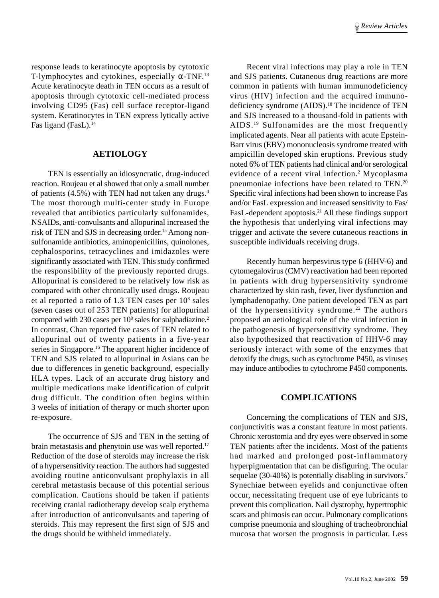response leads to keratinocyte apoptosis by cytotoxic T-lymphocytes and cytokines, especially  $\alpha$ -TNF.<sup>13</sup> Acute keratinocyte death in TEN occurs as a result of apoptosis through cytotoxic cell-mediated process involving CD95 (Fas) cell surface receptor-ligand system. Keratinocytes in TEN express lytically active Fas ligand (FasL).<sup>14</sup>

## **AETIOLOGY**

TEN is essentially an idiosyncratic, drug-induced reaction. Roujeau et al showed that only a small number of patients (4.5%) with TEN had not taken any drugs.4 The most thorough multi-center study in Europe revealed that antibiotics particularly sulfonamides, NSAIDs, anti-convulsants and allopurinal increased the risk of TEN and SJS in decreasing order.<sup>15</sup> Among nonsulfonamide antibiotics, aminopenicillins, quinolones, cephalosporins, tetracyclines and imidazoles were significantly associated with TEN. This study confirmed the responsibility of the previously reported drugs. Allopurinal is considered to be relatively low risk as compared with other chronically used drugs. Roujeau et al reported a ratio of 1.3 TEN cases per 10<sup>8</sup> sales (seven cases out of 253 TEN patients) for allopurinal compared with 230 cases per 10<sup>8</sup> sales for sulphadiazine.<sup>2</sup> In contrast, Chan reported five cases of TEN related to allopurinal out of twenty patients in a five-year series in Singapore.<sup>16</sup> The apparent higher incidence of TEN and SJS related to allopurinal in Asians can be due to differences in genetic background, especially HLA types. Lack of an accurate drug history and multiple medications make identification of culprit drug difficult. The condition often begins within 3 weeks of initiation of therapy or much shorter upon re-exposure.

The occurrence of SJS and TEN in the setting of brain metastasis and phenytoin use was well reported.17 Reduction of the dose of steroids may increase the risk of a hypersensitivity reaction. The authors had suggested avoiding routine anticonvulsant prophylaxis in all cerebral metastasis because of this potential serious complication. Cautions should be taken if patients receiving cranial radiotherapy develop scalp erythema after introduction of anticonvulsants and tapering of steroids. This may represent the first sign of SJS and the drugs should be withheld immediately.

Recent viral infections may play a role in TEN and SJS patients. Cutaneous drug reactions are more common in patients with human immunodeficiency virus (HIV) infection and the acquired immunodeficiency syndrome (AIDS).<sup>18</sup> The incidence of TEN and SJS increased to a thousand-fold in patients with AIDS.19 Sulfonamides are the most frequently implicated agents. Near all patients with acute Epstein-Barr virus (EBV) mononucleosis syndrome treated with ampicillin developed skin eruptions. Previous study noted 6% of TEN patients had clinical and/or serological evidence of a recent viral infection.<sup>2</sup> Mycoplasma pneumoniae infections have been related to TEN.20 Specific viral infections had been shown to increase Fas and/or FasL expression and increased sensitivity to Fas/ FasL-dependent apoptosis.<sup>21</sup> All these findings support the hypothesis that underlying viral infections may trigger and activate the severe cutaneous reactions in susceptible individuals receiving drugs.

Recently human herpesvirus type 6 (HHV-6) and cytomegalovirus (CMV) reactivation had been reported in patients with drug hypersensitivity syndrome characterized by skin rash, fever, liver dysfunction and lymphadenopathy. One patient developed TEN as part of the hypersensitivity syndrome.<sup>22</sup> The authors proposed an aetiological role of the viral infection in the pathogenesis of hypersensitivity syndrome. They also hypothesized that reactivation of HHV-6 may seriously interact with some of the enzymes that detoxify the drugs, such as cytochrome P450, as viruses may induce antibodies to cytochrome P450 components.

### **COMPLICATIONS**

Concerning the complications of TEN and SJS, conjunctivitis was a constant feature in most patients. Chronic xerostomia and dry eyes were observed in some TEN patients after the incidents. Most of the patients had marked and prolonged post-inflammatory hyperpigmentation that can be disfiguring. The ocular sequelae (30-40%) is potentially disabling in survivors.<sup>7</sup> Synechiae between eyelids and conjunctivae often occur, necessitating frequent use of eye lubricants to prevent this complication. Nail dystrophy, hypertrophic scars and phimosis can occur. Pulmonary complications comprise pneumonia and sloughing of tracheobronchial mucosa that worsen the prognosis in particular. Less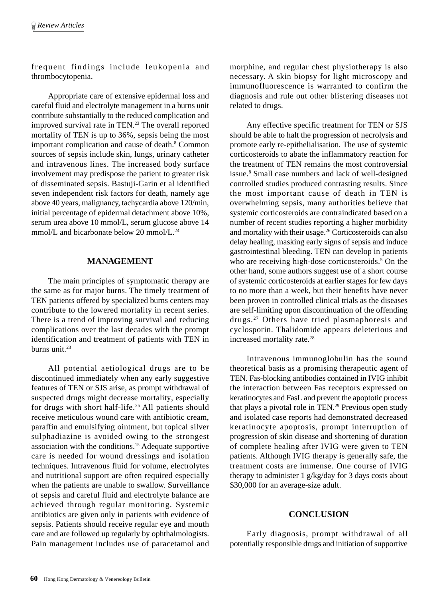frequent findings include leukopenia and thrombocytopenia.

Appropriate care of extensive epidermal loss and careful fluid and electrolyte management in a burns unit contribute substantially to the reduced complication and improved survival rate in TEN.23 The overall reported mortality of TEN is up to 36%, sepsis being the most important complication and cause of death.<sup>8</sup> Common sources of sepsis include skin, lungs, urinary catheter and intravenous lines. The increased body surface involvement may predispose the patient to greater risk of disseminated sepsis. Bastuji-Garin et al identified seven independent risk factors for death, namely age above 40 years, malignancy, tachycardia above 120/min, initial percentage of epidermal detachment above 10%, serum urea above 10 mmol/L, serum glucose above 14 mmol/L and bicarbonate below 20 mmol/L.<sup>24</sup>

#### **MANAGEMENT**

The main principles of symptomatic therapy are the same as for major burns. The timely treatment of TEN patients offered by specialized burns centers may contribute to the lowered mortality in recent series. There is a trend of improving survival and reducing complications over the last decades with the prompt identification and treatment of patients with TEN in burns unit.<sup>23</sup>

All potential aetiological drugs are to be discontinued immediately when any early suggestive features of TEN or SJS arise, as prompt withdrawal of suspected drugs might decrease mortality, especially for drugs with short half-life.25 All patients should receive meticulous wound care with antibiotic cream, paraffin and emulsifying ointment, but topical silver sulphadiazine is avoided owing to the strongest association with the conditions.15 Adequate supportive care is needed for wound dressings and isolation techniques. Intravenous fluid for volume, electrolytes and nutritional support are often required especially when the patients are unable to swallow. Surveillance of sepsis and careful fluid and electrolyte balance are achieved through regular monitoring. Systemic antibiotics are given only in patients with evidence of sepsis. Patients should receive regular eye and mouth care and are followed up regularly by ophthalmologists. Pain management includes use of paracetamol and

morphine, and regular chest physiotherapy is also necessary. A skin biopsy for light microscopy and immunofluorescence is warranted to confirm the diagnosis and rule out other blistering diseases not related to drugs.

Any effective specific treatment for TEN or SJS should be able to halt the progression of necrolysis and promote early re-epithelialisation. The use of systemic corticosteroids to abate the inflammatory reaction for the treatment of TEN remains the most controversial issue.8 Small case numbers and lack of well-designed controlled studies produced contrasting results. Since the most important cause of death in TEN is overwhelming sepsis, many authorities believe that systemic corticosteroids are contraindicated based on a number of recent studies reporting a higher morbidity and mortality with their usage.26 Corticosteroids can also delay healing, masking early signs of sepsis and induce gastrointestinal bleeding. TEN can develop in patients who are receiving high-dose corticosteroids.<sup>5</sup> On the other hand, some authors suggest use of a short course of systemic corticosteroids at earlier stages for few days to no more than a week, but their benefits have never been proven in controlled clinical trials as the diseases are self-limiting upon discontinuation of the offending drugs.27 Others have tried plasmaphoresis and cyclosporin. Thalidomide appears deleterious and increased mortality rate.28

Intravenous immunoglobulin has the sound theoretical basis as a promising therapeutic agent of TEN. Fas-blocking antibodies contained in IVIG inhibit the interaction between Fas receptors expressed on keratinocytes and FasL and prevent the apoptotic process that plays a pivotal role in TEN.<sup>29</sup> Previous open study and isolated case reports had demonstrated decreased keratinocyte apoptosis, prompt interruption of progression of skin disease and shortening of duration of complete healing after IVIG were given to TEN patients. Although IVIG therapy is generally safe, the treatment costs are immense. One course of IVIG therapy to administer 1 g/kg/day for 3 days costs about \$30,000 for an average-size adult.

#### **CONCLUSION**

Early diagnosis, prompt withdrawal of all potentially responsible drugs and initiation of supportive